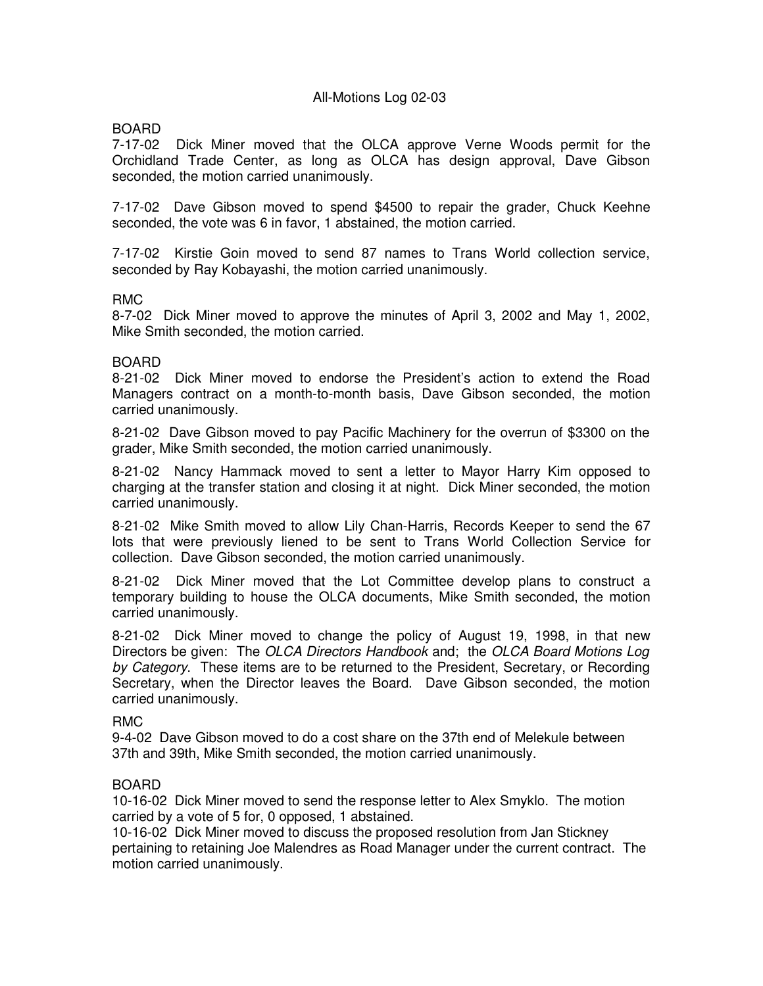# All-Motions Log 02-03

# BOARD

7-17-02 Dick Miner moved that the OLCA approve Verne Woods permit for the Orchidland Trade Center, as long as OLCA has design approval, Dave Gibson seconded, the motion carried unanimously.

7-17-02 Dave Gibson moved to spend \$4500 to repair the grader, Chuck Keehne seconded, the vote was 6 in favor, 1 abstained, the motion carried.

7-17-02 Kirstie Goin moved to send 87 names to Trans World collection service, seconded by Ray Kobayashi, the motion carried unanimously.

## RMC

8-7-02 Dick Miner moved to approve the minutes of April 3, 2002 and May 1, 2002, Mike Smith seconded, the motion carried.

### BOARD

8-21-02 Dick Miner moved to endorse the President's action to extend the Road Managers contract on a month-to-month basis, Dave Gibson seconded, the motion carried unanimously.

8-21-02 Dave Gibson moved to pay Pacific Machinery for the overrun of \$3300 on the grader, Mike Smith seconded, the motion carried unanimously.

8-21-02 Nancy Hammack moved to sent a letter to Mayor Harry Kim opposed to charging at the transfer station and closing it at night. Dick Miner seconded, the motion carried unanimously.

8-21-02 Mike Smith moved to allow Lily Chan-Harris, Records Keeper to send the 67 lots that were previously liened to be sent to Trans World Collection Service for collection. Dave Gibson seconded, the motion carried unanimously.

8-21-02 Dick Miner moved that the Lot Committee develop plans to construct a temporary building to house the OLCA documents, Mike Smith seconded, the motion carried unanimously.

8-21-02 Dick Miner moved to change the policy of August 19, 1998, in that new Directors be given: The OLCA Directors Handbook and; the OLCA Board Motions Log by Category. These items are to be returned to the President, Secretary, or Recording Secretary, when the Director leaves the Board. Dave Gibson seconded, the motion carried unanimously.

#### RMC

9-4-02 Dave Gibson moved to do a cost share on the 37th end of Melekule between 37th and 39th, Mike Smith seconded, the motion carried unanimously.

## BOARD

10-16-02 Dick Miner moved to send the response letter to Alex Smyklo. The motion carried by a vote of 5 for, 0 opposed, 1 abstained.

10-16-02 Dick Miner moved to discuss the proposed resolution from Jan Stickney pertaining to retaining Joe Malendres as Road Manager under the current contract. The motion carried unanimously.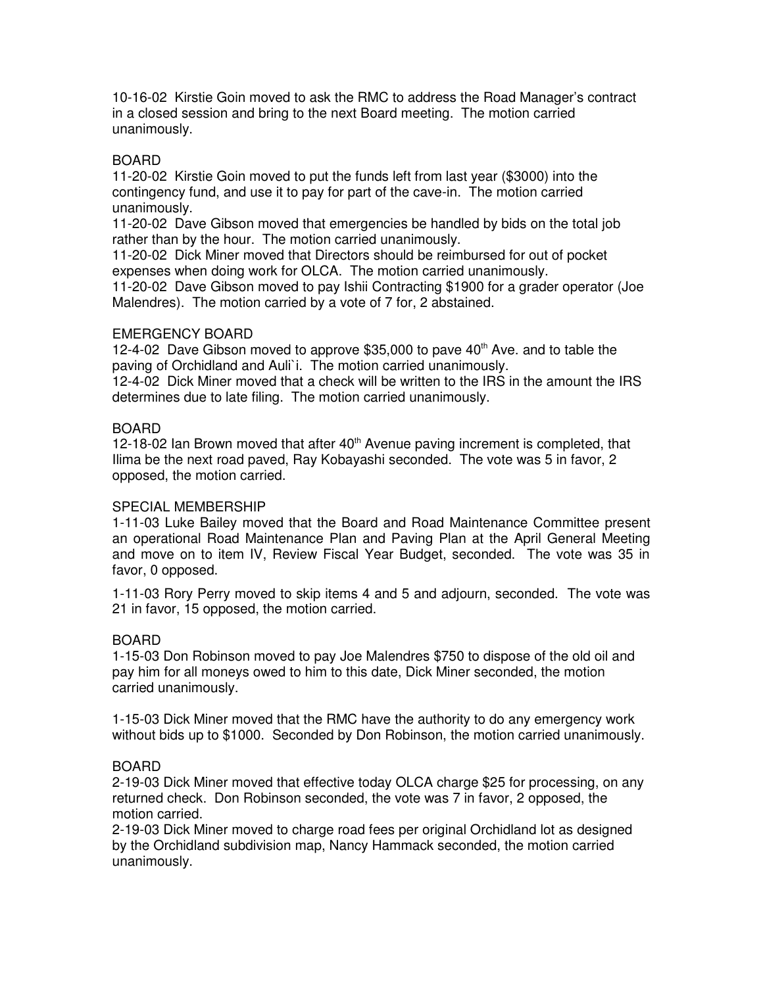10-16-02 Kirstie Goin moved to ask the RMC to address the Road Manager's contract in a closed session and bring to the next Board meeting. The motion carried unanimously.

# BOARD

11-20-02 Kirstie Goin moved to put the funds left from last year (\$3000) into the contingency fund, and use it to pay for part of the cave-in. The motion carried unanimously.

11-20-02 Dave Gibson moved that emergencies be handled by bids on the total job rather than by the hour. The motion carried unanimously.

11-20-02 Dick Miner moved that Directors should be reimbursed for out of pocket expenses when doing work for OLCA. The motion carried unanimously.

11-20-02 Dave Gibson moved to pay Ishii Contracting \$1900 for a grader operator (Joe Malendres). The motion carried by a vote of 7 for, 2 abstained.

### EMERGENCY BOARD

12-4-02 Dave Gibson moved to approve  $$35,000$  to pave  $40<sup>th</sup>$  Ave. and to table the paving of Orchidland and Auli`i. The motion carried unanimously.

12-4-02 Dick Miner moved that a check will be written to the IRS in the amount the IRS determines due to late filing. The motion carried unanimously.

## BOARD

12-18-02 Ian Brown moved that after  $40<sup>th</sup>$  Avenue paving increment is completed, that Ilima be the next road paved, Ray Kobayashi seconded. The vote was 5 in favor, 2 opposed, the motion carried.

## SPECIAL MEMBERSHIP

1-11-03 Luke Bailey moved that the Board and Road Maintenance Committee present an operational Road Maintenance Plan and Paving Plan at the April General Meeting and move on to item IV, Review Fiscal Year Budget, seconded. The vote was 35 in favor, 0 opposed.

1-11-03 Rory Perry moved to skip items 4 and 5 and adjourn, seconded. The vote was 21 in favor, 15 opposed, the motion carried.

#### BOARD

1-15-03 Don Robinson moved to pay Joe Malendres \$750 to dispose of the old oil and pay him for all moneys owed to him to this date, Dick Miner seconded, the motion carried unanimously.

1-15-03 Dick Miner moved that the RMC have the authority to do any emergency work without bids up to \$1000. Seconded by Don Robinson, the motion carried unanimously.

#### BOARD

2-19-03 Dick Miner moved that effective today OLCA charge \$25 for processing, on any returned check. Don Robinson seconded, the vote was 7 in favor, 2 opposed, the motion carried.

2-19-03 Dick Miner moved to charge road fees per original Orchidland lot as designed by the Orchidland subdivision map, Nancy Hammack seconded, the motion carried unanimously.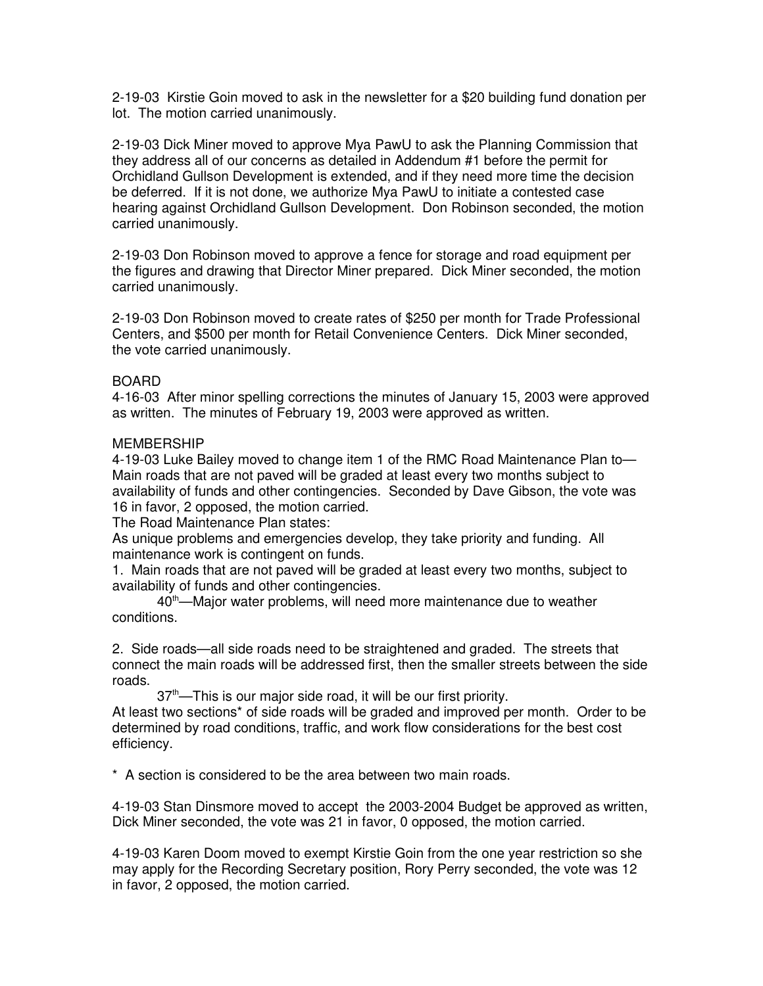2-19-03 Kirstie Goin moved to ask in the newsletter for a \$20 building fund donation per lot. The motion carried unanimously.

2-19-03 Dick Miner moved to approve Mya PawU to ask the Planning Commission that they address all of our concerns as detailed in Addendum #1 before the permit for Orchidland Gullson Development is extended, and if they need more time the decision be deferred. If it is not done, we authorize Mya PawU to initiate a contested case hearing against Orchidland Gullson Development. Don Robinson seconded, the motion carried unanimously.

2-19-03 Don Robinson moved to approve a fence for storage and road equipment per the figures and drawing that Director Miner prepared. Dick Miner seconded, the motion carried unanimously.

2-19-03 Don Robinson moved to create rates of \$250 per month for Trade Professional Centers, and \$500 per month for Retail Convenience Centers. Dick Miner seconded, the vote carried unanimously.

#### BOARD

4-16-03 After minor spelling corrections the minutes of January 15, 2003 were approved as written. The minutes of February 19, 2003 were approved as written.

#### MEMBERSHIP

4-19-03 Luke Bailey moved to change item 1 of the RMC Road Maintenance Plan to— Main roads that are not paved will be graded at least every two months subject to availability of funds and other contingencies. Seconded by Dave Gibson, the vote was 16 in favor, 2 opposed, the motion carried.

The Road Maintenance Plan states:

As unique problems and emergencies develop, they take priority and funding. All maintenance work is contingent on funds.

1. Main roads that are not paved will be graded at least every two months, subject to availability of funds and other contingencies.

40<sup>th</sup>—Major water problems, will need more maintenance due to weather conditions.

2. Side roads—all side roads need to be straightened and graded. The streets that connect the main roads will be addressed first, then the smaller streets between the side roads.

37th—This is our major side road, it will be our first priority.

At least two sections\* of side roads will be graded and improved per month. Order to be determined by road conditions, traffic, and work flow considerations for the best cost efficiency.

\* A section is considered to be the area between two main roads.

4-19-03 Stan Dinsmore moved to accept the 2003-2004 Budget be approved as written, Dick Miner seconded, the vote was 21 in favor, 0 opposed, the motion carried.

4-19-03 Karen Doom moved to exempt Kirstie Goin from the one year restriction so she may apply for the Recording Secretary position, Rory Perry seconded, the vote was 12 in favor, 2 opposed, the motion carried.